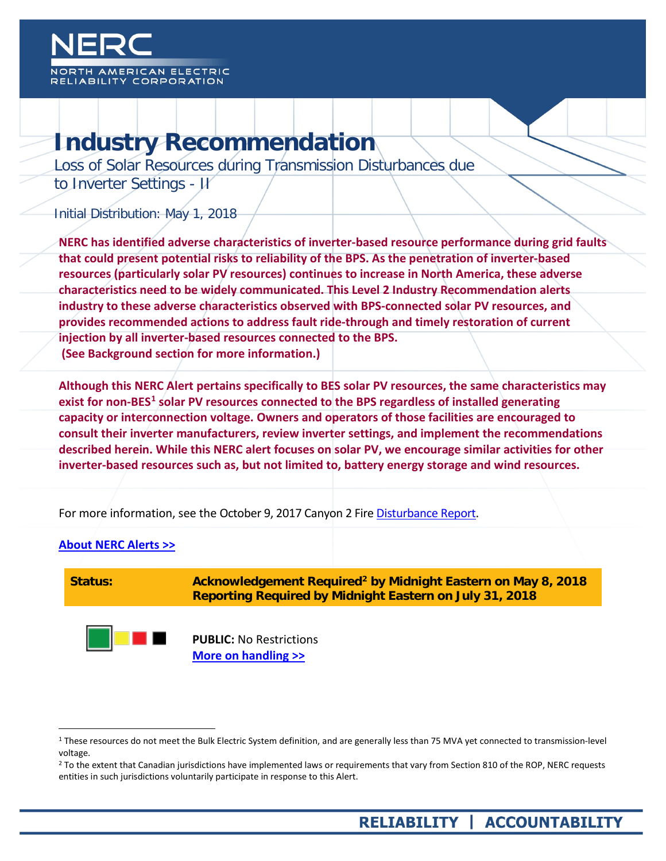

# **Industry Recommendation**

Loss of Solar Resources during Transmission Disturbances due to Inverter Settings - JI

Initial Distribution: May 1, 2018

**NERC has identified adverse characteristics of inverter-based resource performance during grid faults that could present potential risks to reliability of the BPS. As the penetration of inverter-based resources (particularly solar PV resources) continues to increase in North America, these adverse characteristics need to be widely communicated. This Level 2 Industry Recommendation alerts industry to these adverse characteristics observed with BPS-connected solar PV resources, and provides recommended actions to address fault ride-through and timely restoration of current injection by all inverter-based resources connected to the BPS. (See Background section for more information.)**

**Although this NERC Alert pertains specifically to BES solar PV resources, the same characteristics may exist for non-BES[1](#page-0-1) solar PV resources connected to the BPS regardless of installed generating capacity or interconnection voltage. Owners and operators of those facilities are encouraged to consult their inverter manufacturers, review inverter settings, and implement the recommendations described herein. While this NERC alert focuses on solar PV, we encourage similar activities for other inverter-based resources such as, but not limited to, battery energy storage and wind resources.**

For more information, see the October 9, 2017 Canyon 2 Fire [Disturbance Report.](https://www.nerc.com/pa/rrm/ea/October%209%202017%20Canyon%202%20Fire%20Disturbance%20Report/900%20MW%20Solar%20Photovoltaic%20Resource%20Interruption%20Disturbance%20Report.pdf)

### <span id="page-0-0"></span>**[About NERC Alerts >>](http://www.nerc.com/pa/rrm/bpsa/Pages/About-Alerts.aspx)**

 $\overline{a}$ 



<span id="page-0-1"></span><sup>&</sup>lt;sup>1</sup> These resources do not meet the Bulk Electric System definition, and are generally less than 75 MVA yet connected to transmission-level voltage.

<span id="page-0-2"></span><sup>&</sup>lt;sup>2</sup> To the extent that Canadian jurisdictions have implemented laws or requirements that vary from Section 810 of the ROP, NERC requests entities in such jurisdictions voluntarily participate in response to this Alert.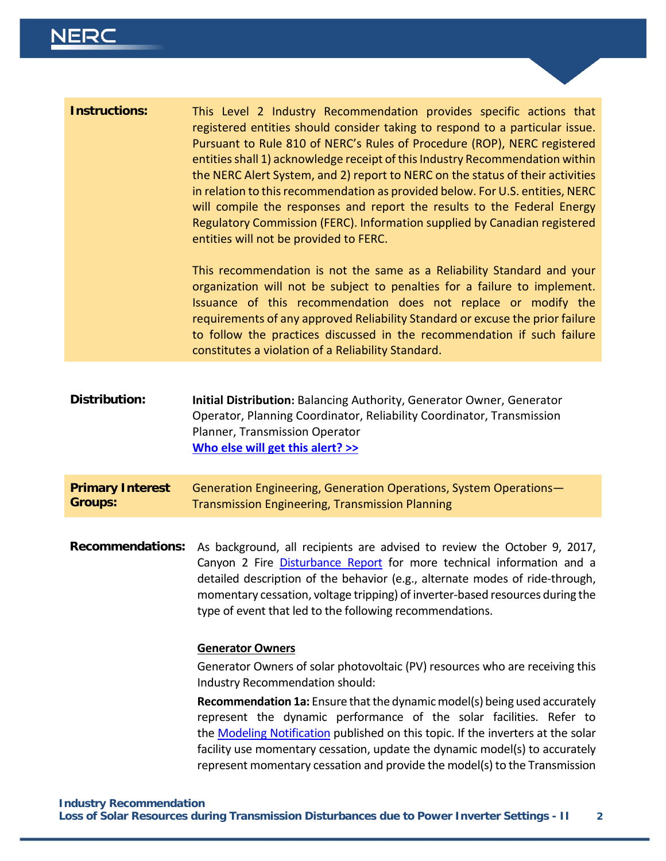## **NERC**

| <b>Instructions:</b>                      | This Level 2 Industry Recommendation provides specific actions that<br>registered entities should consider taking to respond to a particular issue.<br>Pursuant to Rule 810 of NERC's Rules of Procedure (ROP), NERC registered<br>entities shall 1) acknowledge receipt of this Industry Recommendation within<br>the NERC Alert System, and 2) report to NERC on the status of their activities<br>in relation to this recommendation as provided below. For U.S. entities, NERC<br>will compile the responses and report the results to the Federal Energy<br>Regulatory Commission (FERC). Information supplied by Canadian registered<br>entities will not be provided to FERC.<br>This recommendation is not the same as a Reliability Standard and your<br>organization will not be subject to penalties for a failure to implement.<br>Issuance of this recommendation does not replace or modify the<br>requirements of any approved Reliability Standard or excuse the prior failure<br>to follow the practices discussed in the recommendation if such failure<br>constitutes a violation of a Reliability Standard. |
|-------------------------------------------|---------------------------------------------------------------------------------------------------------------------------------------------------------------------------------------------------------------------------------------------------------------------------------------------------------------------------------------------------------------------------------------------------------------------------------------------------------------------------------------------------------------------------------------------------------------------------------------------------------------------------------------------------------------------------------------------------------------------------------------------------------------------------------------------------------------------------------------------------------------------------------------------------------------------------------------------------------------------------------------------------------------------------------------------------------------------------------------------------------------------------------|
|                                           |                                                                                                                                                                                                                                                                                                                                                                                                                                                                                                                                                                                                                                                                                                                                                                                                                                                                                                                                                                                                                                                                                                                                 |
| <b>Distribution:</b>                      | Initial Distribution: Balancing Authority, Generator Owner, Generator<br>Operator, Planning Coordinator, Reliability Coordinator, Transmission<br>Planner, Transmission Operator<br>Who else will get this alert? >>                                                                                                                                                                                                                                                                                                                                                                                                                                                                                                                                                                                                                                                                                                                                                                                                                                                                                                            |
| <b>Primary Interest</b><br><b>Groups:</b> | Generation Engineering, Generation Operations, System Operations-<br><b>Transmission Engineering, Transmission Planning</b>                                                                                                                                                                                                                                                                                                                                                                                                                                                                                                                                                                                                                                                                                                                                                                                                                                                                                                                                                                                                     |
| <b>Recommendations:</b>                   | As background, all recipients are advised to review the October 9, 2017,<br>Canyon 2 Fire Disturbance Report for more technical information and a<br>detailed description of the behavior (e.g., alternate modes of ride-through,<br>momentary cessation, voltage tripping) of inverter-based resources during the<br>type of event that led to the following recommendations.                                                                                                                                                                                                                                                                                                                                                                                                                                                                                                                                                                                                                                                                                                                                                  |
|                                           | <b>Generator Owners</b><br>Generator Owners of solar photovoltaic (PV) resources who are receiving this<br>Industry Recommendation should:<br>Recommendation 1a: Ensure that the dynamic model(s) being used accurately<br>represent the dynamic performance of the solar facilities. Refer to<br>the Modeling Notification published on this topic. If the inverters at the solar<br>facility use momentary cessation, update the dynamic model(s) to accurately<br>represent momentary cessation and provide the model(s) to the Transmission                                                                                                                                                                                                                                                                                                                                                                                                                                                                                                                                                                                 |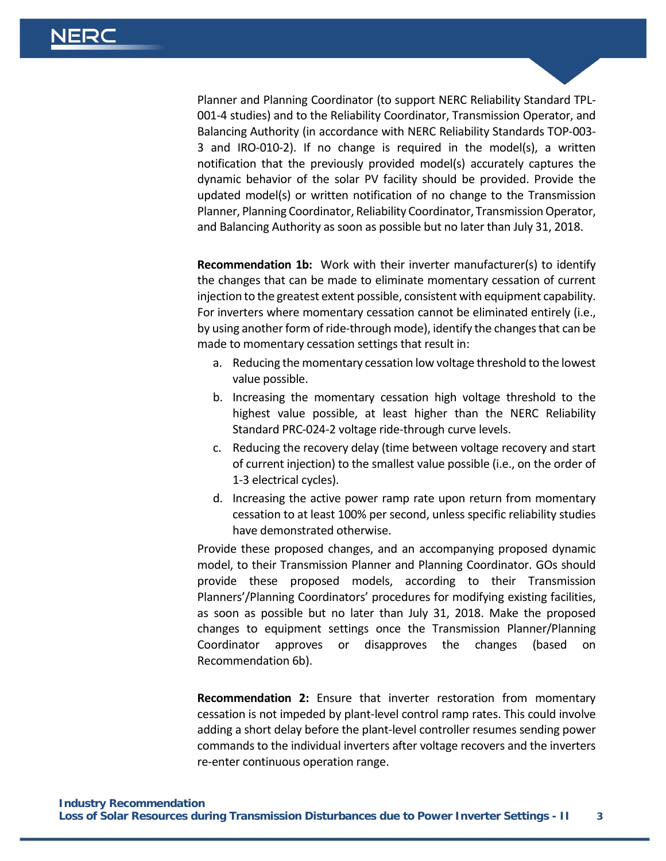Planner and Planning Coordinator (to support NERC Reliability Standard TPL-001-4 studies) and to the Reliability Coordinator, Transmission Operator, and Balancing Authority (in accordance with NERC Reliability Standards TOP-003- 3 and IRO-010-2). If no change is required in the model(s), a written notification that the previously provided model(s) accurately captures the dynamic behavior of the solar PV facility should be provided. Provide the updated model(s) or written notification of no change to the Transmission Planner, Planning Coordinator, Reliability Coordinator, Transmission Operator, and Balancing Authority as soon as possible but no later than July 31, 2018.

**Recommendation 1b:** Work with their inverter manufacturer(s) to identify the changes that can be made to eliminate momentary cessation of current injection to the greatest extent possible, consistent with equipment capability. For inverters where momentary cessation cannot be eliminated entirely (i.e., by using another form of ride-through mode), identify the changes that can be made to momentary cessation settings that result in:

- a. Reducing the momentary cessation low voltage threshold to the lowest value possible.
- b. Increasing the momentary cessation high voltage threshold to the highest value possible, at least higher than the NERC Reliability Standard PRC-024-2 voltage ride-through curve levels.
- c. Reducing the recovery delay (time between voltage recovery and start of current injection) to the smallest value possible (i.e., on the order of 1-3 electrical cycles).
- d. Increasing the active power ramp rate upon return from momentary cessation to at least 100% per second, unless specific reliability studies have demonstrated otherwise.

Provide these proposed changes, and an accompanying proposed dynamic model, to their Transmission Planner and Planning Coordinator. GOs should provide these proposed models, according to their Transmission Planners'/Planning Coordinators' procedures for modifying existing facilities, as soon as possible but no later than July 31, 2018. Make the proposed changes to equipment settings once the Transmission Planner/Planning Coordinator approves or disapproves the changes (based on Recommendation 6b).

**Recommendation 2:** Ensure that inverter restoration from momentary cessation is not impeded by plant-level control ramp rates. This could involve adding a short delay before the plant-level controller resumes sending power commands to the individual inverters after voltage recovers and the inverters re-enter continuous operation range.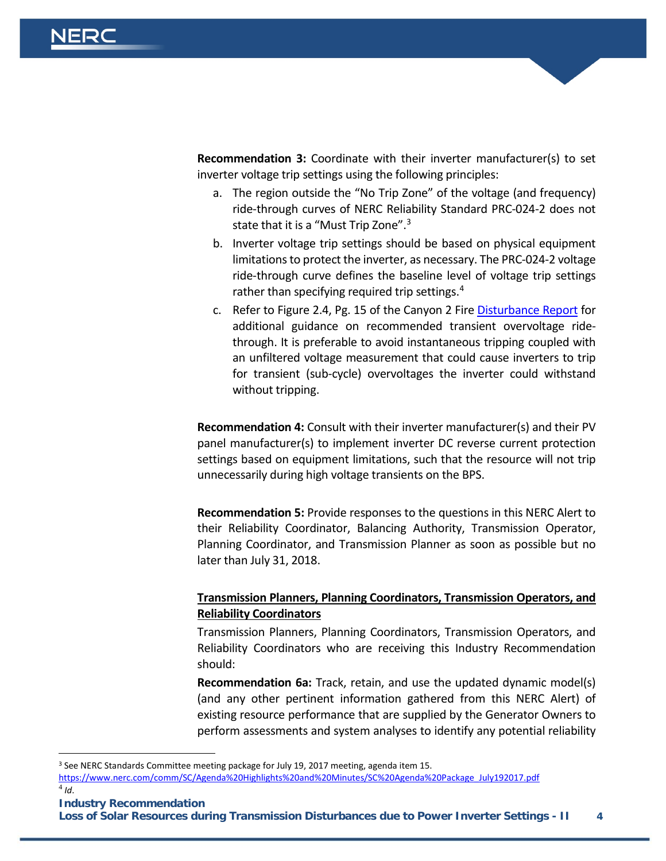**Recommendation 3:** Coordinate with their inverter manufacturer(s) to set inverter voltage trip settings using the following principles:

- a. The region outside the "No Trip Zone" of the voltage (and frequency) ride-through curves of NERC Reliability Standard PRC-024-2 does not state that it is a "Must Trip Zone".<sup>[3](#page-3-0)</sup>
- b. Inverter voltage trip settings should be based on physical equipment limitations to protect the inverter, as necessary. The PRC-024-2 voltage ride-through curve defines the baseline level of voltage trip settings rather than specifying required trip settings.<sup>[4](#page-3-1)</sup>
- c. Refer to Figure 2.4, Pg. 15 of the Canyon 2 Fire [Disturbance Report](https://www.nerc.com/pa/rrm/ea/October%209%202017%20Canyon%202%20Fire%20Disturbance%20Report/900%20MW%20Solar%20Photovoltaic%20Resource%20Interruption%20Disturbance%20Report.pdf) for additional guidance on recommended transient overvoltage ridethrough. It is preferable to avoid instantaneous tripping coupled with an unfiltered voltage measurement that could cause inverters to trip for transient (sub-cycle) overvoltages the inverter could withstand without tripping.

**Recommendation 4:** Consult with their inverter manufacturer(s) and their PV panel manufacturer(s) to implement inverter DC reverse current protection settings based on equipment limitations, such that the resource will not trip unnecessarily during high voltage transients on the BPS.

**Recommendation 5:** Provide responses to the questions in this NERC Alert to their Reliability Coordinator, Balancing Authority, Transmission Operator, Planning Coordinator, and Transmission Planner as soon as possible but no later than July 31, 2018.

### **Transmission Planners, Planning Coordinators, Transmission Operators, and Reliability Coordinators**

Transmission Planners, Planning Coordinators, Transmission Operators, and Reliability Coordinators who are receiving this Industry Recommendation should:

**Recommendation 6a:** Track, retain, and use the updated dynamic model(s) (and any other pertinent information gathered from this NERC Alert) of existing resource performance that are supplied by the Generator Owners to perform assessments and system analyses to identify any potential reliability

<span id="page-3-1"></span>**Industry Recommendation**

 $\overline{a}$ 

**Loss of Solar Resources during Transmission Disturbances due to Power Inverter Settings - II 4**

<span id="page-3-0"></span><sup>&</sup>lt;sup>3</sup> See NERC Standards Committee meeting package for July 19, 2017 meeting, agenda item 15. [https://www.nerc.com/comm/SC/Agenda%20Highlights%20and%20Minutes/SC%20Agenda%20Package\\_July192017.pdf](https://www.nerc.com/comm/SC/Agenda%20Highlights%20and%20Minutes/SC%20Agenda%20Package_July192017.pdf)  $^{4}$  *Id*.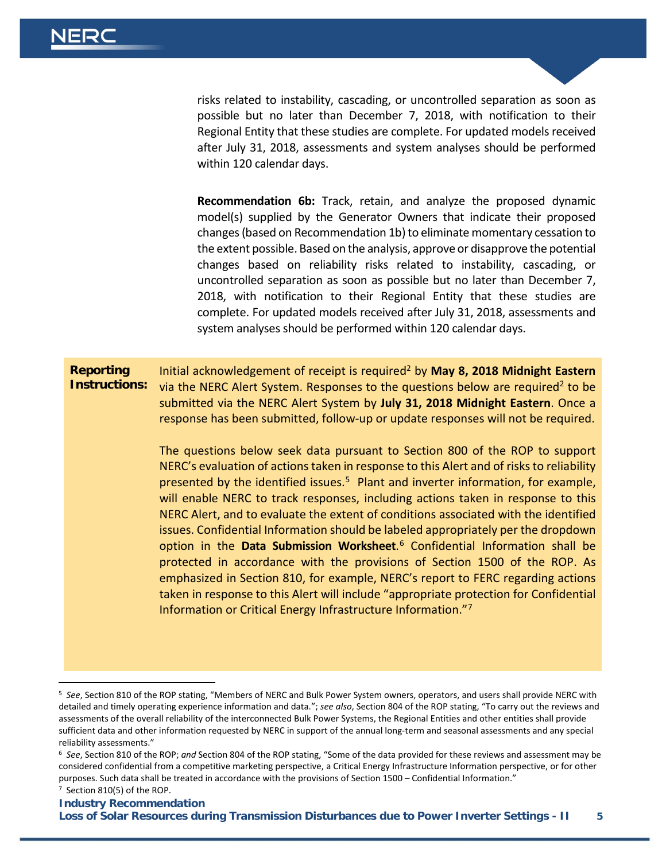$\overline{a}$ 

risks related to instability, cascading, or uncontrolled separation as soon as possible but no later than December 7, 2018, with notification to their Regional Entity that these studies are complete. For updated models received after July 31, 2018, assessments and system analyses should be performed within 120 calendar days.

**Recommendation 6b:** Track, retain, and analyze the proposed dynamic model(s) supplied by the Generator Owners that indicate their proposed changes (based on Recommendation 1b) to eliminate momentary cessation to the extent possible. Based on the analysis, approve or disapprove the potential changes based on reliability risks related to instability, cascading, or uncontrolled separation as soon as possible but no later than December 7, 2018, with notification to their Regional Entity that these studies are complete. For updated models received after July 31, 2018, assessments and system analyses should be performed within 120 calendar days.

**Reporting Instructions:** Initial acknowledgement of receipt is require[d2](#page-0-0) by **May 8, 2018 Midnight Eastern**  via the NERC Alert System. Responses to the questions below are require[d2](#page-0-0) to be submitted via the NERC Alert System by **July 31, 2018 Midnight Eastern**. Once a response has been submitted, follow-up or update responses will not be required.

> The questions below seek data pursuant to Section 800 of the ROP to support NERC's evaluation of actions taken in response to this Alert and of risks to reliability presented by the identified issues.<sup>5</sup> Plant and inverter information, for example, will enable NERC to track responses, including actions taken in response to this NERC Alert, and to evaluate the extent of conditions associated with the identified issues. Confidential Information should be labeled appropriately per the dropdown option in the **Data Submission Worksheet**. [6](#page-4-1) Confidential Information shall be protected in accordance with the provisions of Section 1500 of the ROP. As emphasized in Section 810, for example, NERC's report to FERC regarding actions taken in response to this Alert will include "appropriate protection for Confidential Information or Critical Energy Infrastructure Information.["7](#page-4-2)

<span id="page-4-0"></span><sup>5</sup> *See*, Section 810 of the ROP stating, "Members of NERC and Bulk Power System owners, operators, and users shall provide NERC with detailed and timely operating experience information and data."; *see also*, Section 804 of the ROP stating, "To carry out the reviews and assessments of the overall reliability of the interconnected Bulk Power Systems, the Regional Entities and other entities shall provide sufficient data and other information requested by NERC in support of the annual long-term and seasonal assessments and any special reliability assessments."

<span id="page-4-2"></span><span id="page-4-1"></span><sup>6</sup> *See*, Section 810 of the ROP; *and* Section 804 of the ROP stating, "Some of the data provided for these reviews and assessment may be considered confidential from a competitive marketing perspective, a Critical Energy Infrastructure Information perspective, or for other purposes. Such data shall be treated in accordance with the provisions of Section 1500 – Confidential Information." 7 Section 810(5) of the ROP.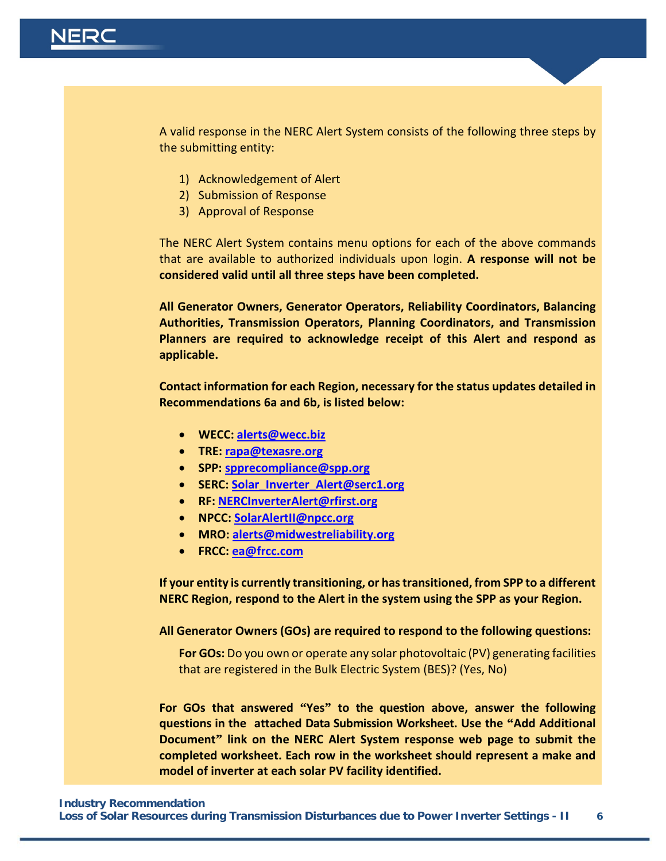

A valid response in the NERC Alert System consists of the following three steps by the submitting entity:

- 1) Acknowledgement of Alert
- 2) Submission of Response
- 3) Approval of Response

The NERC Alert System contains menu options for each of the above commands that are available to authorized individuals upon login. **A response will not be considered valid until all three steps have been completed.**

**All Generator Owners, Generator Operators, Reliability Coordinators, Balancing Authorities, Transmission Operators, Planning Coordinators, and Transmission Planners are required to acknowledge receipt of this Alert and respond as applicable.**

**Contact information for each Region, necessary for the status updates detailed in Recommendations 6a and 6b, is listed below:**

- **WECC: [alerts@wecc.biz](mailto:alerts@wecc.biz)**
- **TRE: [rapa@texasre.org](mailto:rapa@texasre.org)**
- **SPP: [spprecompliance@spp.org](mailto:spprecompliance@spp.org)**
- **SERC: [Solar\\_Inverter\\_Alert@serc1.org](mailto:Solar_Inverter_Alert@serc1.org)**
- **RF: [NERCInverterAlert@rfirst.org](mailto:NERCInverterAlert@rfirst.org)**
- **NPCC: [SolarAlertII@npcc.org](mailto:SolarAlertII@npcc.org)**
- **MRO: [alerts@midwestreliability.org](mailto:alerts@midwestreliability.org)**
- **FRCC: [ea@frcc.com](mailto:ea@frcc.com)**

**If your entity is currently transitioning, or has transitioned, from SPP to a different NERC Region, respond to the Alert in the system using the SPP as your Region.**

**All Generator Owners (GOs) are required to respond to the following questions:**

**For GOs:** Do you own or operate any solar photovoltaic (PV) generating facilities that are registered in the Bulk Electric System (BES)? (Yes, No)

**For GOs that answered "Yes" to the question above, answer the following questions in the attached Data Submission Worksheet. Use the "Add Additional Document" link on the NERC Alert System response web page to submit the completed worksheet. Each row in the worksheet should represent a make and model of inverter at each solar PV facility identified.**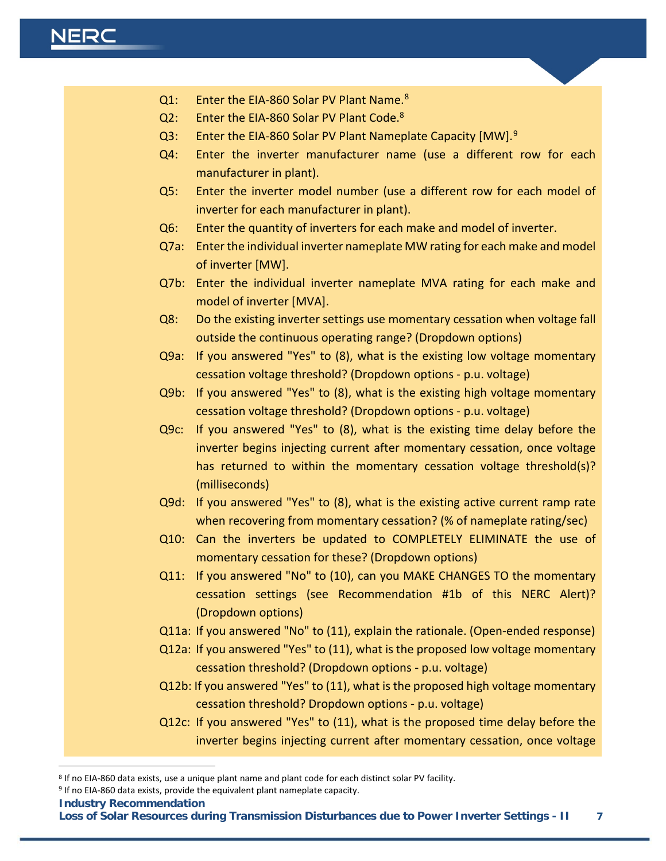- <span id="page-6-0"></span>Q1: Enter the EIA-[8](#page-6-1)60 Solar PV Plant Name.<sup>8</sup>
- Q2: Enter the EIA-860 Solar PV Plant Code.<sup>8</sup>
- Q3: Enter the EIA-860 Solar PV Plant Nameplate Capacity  $[MW]$ .<sup>[9](#page-6-2)</sup>
- Q4: Enter the inverter manufacturer name (use a different row for each manufacturer in plant).
- Q5: Enter the inverter model number (use a different row for each model of inverter for each manufacturer in plant).
- Q6: Enter the quantity of inverters for each make and model of inverter.
- Q7a: Enter the individual inverter nameplate MW rating for each make and model of inverter [MW].
- Q7b: Enter the individual inverter nameplate MVA rating for each make and model of inverter [MVA].
- Q8: Do the existing inverter settings use momentary cessation when voltage fall outside the continuous operating range? (Dropdown options)
- Q9a: If you answered "Yes" to (8), what is the existing low voltage momentary cessation voltage threshold? (Dropdown options - p.u. voltage)
- Q9b: If you answered "Yes" to (8), what is the existing high voltage momentary cessation voltage threshold? (Dropdown options - p.u. voltage)
- Q9c: If you answered "Yes" to (8), what is the existing time delay before the inverter begins injecting current after momentary cessation, once voltage has returned to within the momentary cessation voltage threshold(s)? (milliseconds)
- Q9d: If you answered "Yes" to (8), what is the existing active current ramp rate when recovering from momentary cessation? (% of nameplate rating/sec)
- Q10: Can the inverters be updated to COMPLETELY ELIMINATE the use of momentary cessation for these? (Dropdown options)
- Q11: If you answered "No" to (10), can you MAKE CHANGES TO the momentary cessation settings (see Recommendation #1b of this NERC Alert)? (Dropdown options)
- Q11a: If you answered "No" to (11), explain the rationale. (Open-ended response)
- Q12a: If you answered "Yes" to (11), what is the proposed low voltage momentary cessation threshold? (Dropdown options - p.u. voltage)
- Q12b: If you answered "Yes" to (11), what is the proposed high voltage momentary cessation threshold? Dropdown options - p.u. voltage)
- Q12c: If you answered "Yes" to (11), what is the proposed time delay before the inverter begins injecting current after momentary cessation, once voltage

**Industry Recommendation**

 $\overline{a}$ 

**Loss of Solar Resources during Transmission Disturbances due to Power Inverter Settings - II 7**

<span id="page-6-1"></span><sup>8</sup> If no EIA-860 data exists, use a unique plant name and plant code for each distinct solar PV facility.

<span id="page-6-2"></span><sup>9</sup> If no EIA-860 data exists, provide the equivalent plant nameplate capacity.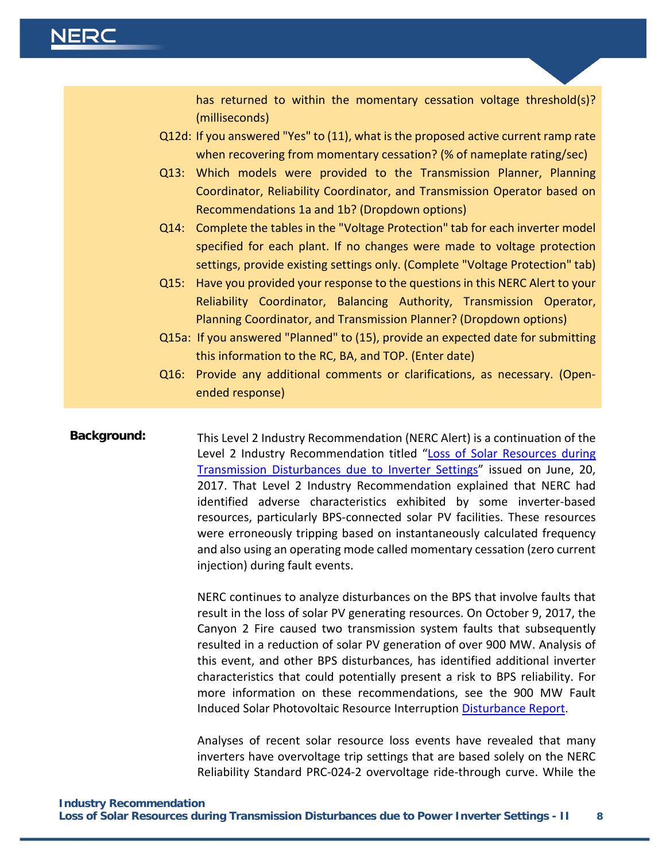has returned to within the momentary cessation voltage threshold(s)? (milliseconds)

- Q12d: If you answered "Yes" to (11), what is the proposed active current ramp rate when recovering from momentary cessation? (% of nameplate rating/sec)
- Q13: Which models were provided to the Transmission Planner, Planning Coordinator, Reliability Coordinator, and Transmission Operator based on Recommendations 1a and 1b? (Dropdown options)
- Q14: Complete the tables in the "Voltage Protection" tab for each inverter model specified for each plant. If no changes were made to voltage protection settings, provide existing settings only. (Complete "Voltage Protection" tab)
- Q15: Have you provided your response to the questions in this NERC Alert to your Reliability Coordinator, Balancing Authority, Transmission Operator, Planning Coordinator, and Transmission Planner? (Dropdown options)
- Q15a: If you answered "Planned" to (15), provide an expected date for submitting this information to the RC, BA, and TOP. (Enter date)
- Q16: Provide any additional comments or clarifications, as necessary. (Openended response)

**Background:** This Level 2 Industry Recommendation (NERC Alert) is a continuation of the Level 2 Industry Recommendation titled "Loss of Solar Resources during [Transmission Disturbances due to Inverter Settings"](https://www.nerc.com/pa/rrm/bpsa/Alerts%20DL/NERC%20Alert%20Loss%20of%20Solar%20Resources%20during%20Transmission%20Disturbance.pdf) issued on June, 20, 2017. That Level 2 Industry Recommendation explained that NERC had identified adverse characteristics exhibited by some inverter-based resources, particularly BPS-connected solar PV facilities. These resources were erroneously tripping based on instantaneously calculated frequency and also using an operating mode called momentary cessation (zero current injection) during fault events.

> NERC continues to analyze disturbances on the BPS that involve faults that result in the loss of solar PV generating resources. On October 9, 2017, the Canyon 2 Fire caused two transmission system faults that subsequently resulted in a reduction of solar PV generation of over 900 MW. Analysis of this event, and other BPS disturbances, has identified additional inverter characteristics that could potentially present a risk to BPS reliability. For more information on these recommendations, see the 900 MW Fault Induced Solar Photovoltaic Resource Interruption [Disturbance Report.](https://www.nerc.com/pa/rrm/ea/October%209%202017%20Canyon%202%20Fire%20Disturbance%20Report/900%20MW%20Solar%20Photovoltaic%20Resource%20Interruption%20Disturbance%20Report.pdf)

> Analyses of recent solar resource loss events have revealed that many inverters have overvoltage trip settings that are based solely on the NERC Reliability Standard PRC-024-2 overvoltage ride-through curve. While the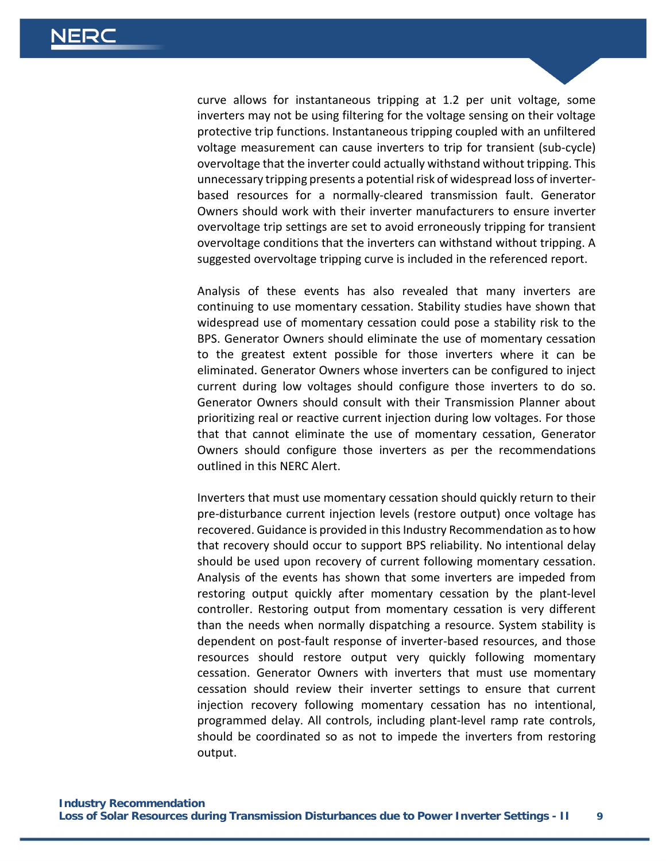curve allows for instantaneous tripping at 1.2 per unit voltage, some inverters may not be using filtering for the voltage sensing on their voltage protective trip functions. Instantaneous tripping coupled with an unfiltered voltage measurement can cause inverters to trip for transient (sub-cycle) overvoltage that the inverter could actually withstand without tripping. This unnecessary tripping presents a potential risk of widespread loss of inverterbased resources for a normally-cleared transmission fault. Generator Owners should work with their inverter manufacturers to ensure inverter overvoltage trip settings are set to avoid erroneously tripping for transient overvoltage conditions that the inverters can withstand without tripping. A suggested overvoltage tripping curve is included in the referenced report.

Analysis of these events has also revealed that many inverters are continuing to use momentary cessation. Stability studies have shown that widespread use of momentary cessation could pose a stability risk to the BPS. Generator Owners should eliminate the use of momentary cessation to the greatest extent possible for those inverters where it can be eliminated. Generator Owners whose inverters can be configured to inject current during low voltages should configure those inverters to do so. Generator Owners should consult with their Transmission Planner about prioritizing real or reactive current injection during low voltages. For those that that cannot eliminate the use of momentary cessation, Generator Owners should configure those inverters as per the recommendations outlined in this NERC Alert.

Inverters that must use momentary cessation should quickly return to their pre-disturbance current injection levels (restore output) once voltage has recovered. Guidance is provided in this Industry Recommendation as to how that recovery should occur to support BPS reliability. No intentional delay should be used upon recovery of current following momentary cessation. Analysis of the events has shown that some inverters are impeded from restoring output quickly after momentary cessation by the plant-level controller. Restoring output from momentary cessation is very different than the needs when normally dispatching a resource. System stability is dependent on post-fault response of inverter-based resources, and those resources should restore output very quickly following momentary cessation. Generator Owners with inverters that must use momentary cessation should review their inverter settings to ensure that current injection recovery following momentary cessation has no intentional, programmed delay. All controls, including plant-level ramp rate controls, should be coordinated so as not to impede the inverters from restoring output.